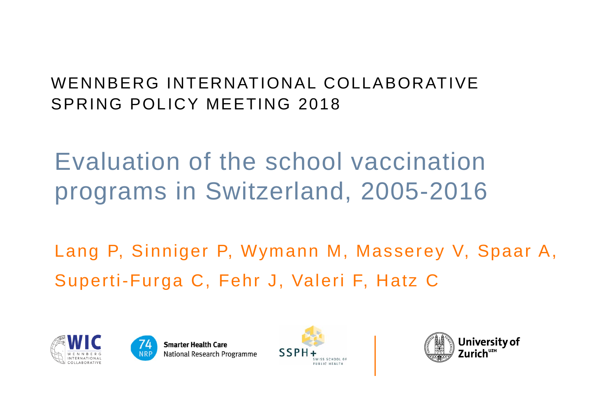#### WENNBERG INTERNATIONAL COLLABORATIVESPRING POLICY MEETING 2018

Evaluation of the school vaccination programs in Switzerland, 2005-2016

Lang P, Sinniger P, Wymann M, Masserey V, Spaar A, Superti-Furga C, Fehr J, Valeri F, Hatz C





**Smarter Health Care** National Research Programme



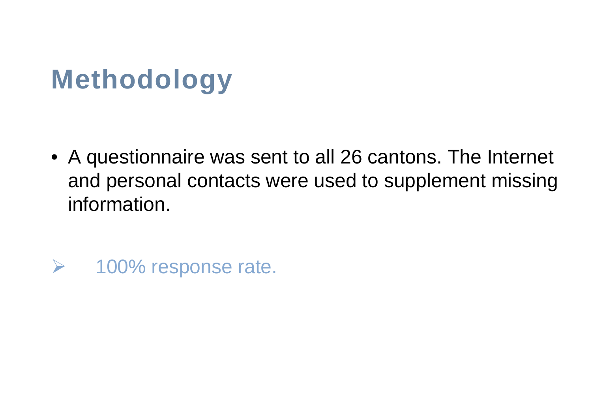# **Methodology**

• A questionnaire was sent to all 26 cantons. The Internet and personal contacts were used to supplement missing information.

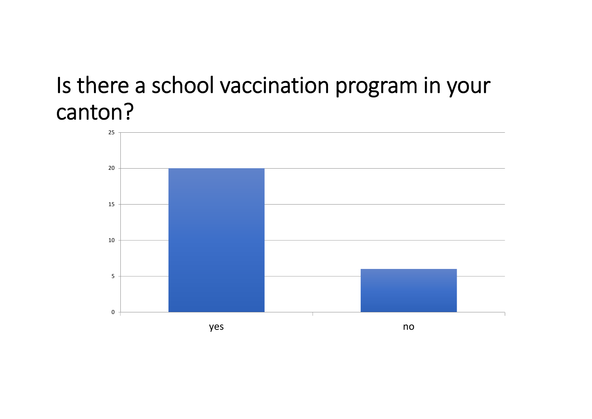### Is there <sup>a</sup> school vaccination program in your canton?

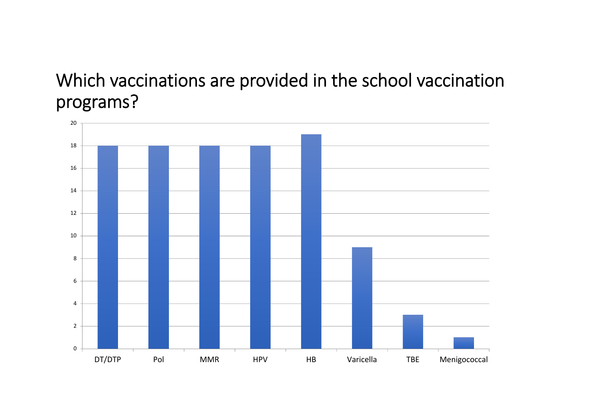#### Which vaccinations are provided in the school vaccination programs?

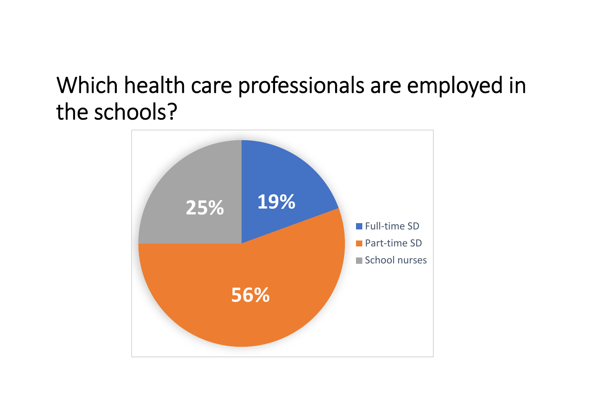### Which health care professionals are employed in the schools?

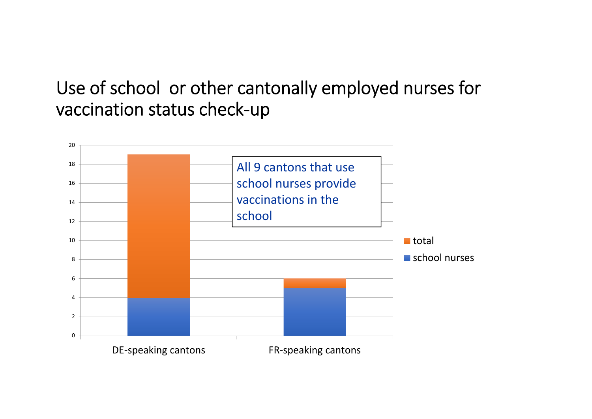#### Use of school or other cantonally employed nurses for vaccination status check ‐up

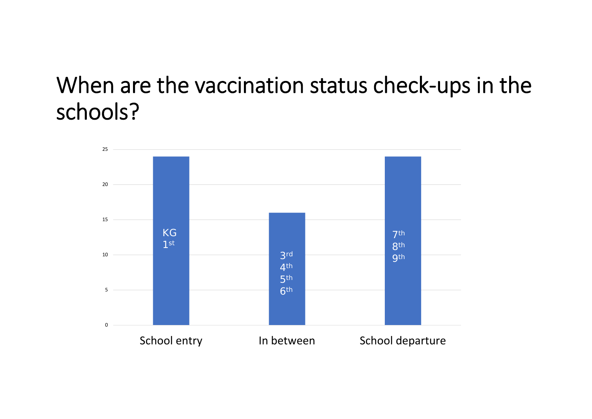### When are the vaccination status check ‐ups in the schools?

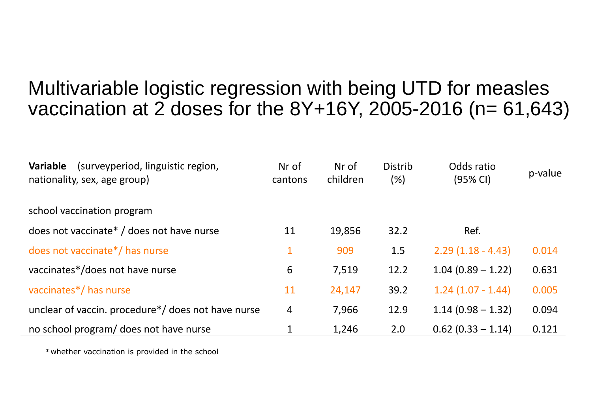#### Multivariable logistic regression with being UTD for measles vaccination at 2 doses for the  $8Y+16Y$ , 2005-2016 (n= 61,643)

| (surveyperiod, linguistic region,<br>Variable<br>nationality, sex, age group) | Nr of<br>cantons | Nr of<br>children | <b>Distrib</b><br>$(\%)$ | Odds ratio<br>$(95% \text{ Cl})$ | p-value |
|-------------------------------------------------------------------------------|------------------|-------------------|--------------------------|----------------------------------|---------|
| school vaccination program                                                    |                  |                   |                          |                                  |         |
| does not vaccinate* / does not have nurse                                     | 11               | 19,856            | 32.2                     | Ref.                             |         |
| does not vaccinate*/ has nurse                                                | $\mathbf{1}$     | 909               | 1.5                      | $2.29(1.18 - 4.43)$              | 0.014   |
| vaccinates*/does not have nurse                                               | 6                | 7,519             | 12.2                     | $1.04(0.89 - 1.22)$              | 0.631   |
| vaccinates*/ has nurse                                                        | 11               | 24,147            | 39.2                     | $1.24(1.07 - 1.44)$              | 0.005   |
| unclear of vaccin. procedure*/ does not have nurse                            | 4                | 7,966             | 12.9                     | $1.14(0.98 - 1.32)$              | 0.094   |
| no school program/ does not have nurse                                        | $\mathbf{1}$     | 1,246             | 2.0                      | $0.62(0.33 - 1.14)$              | 0.121   |

\*whether vaccination is provided in the school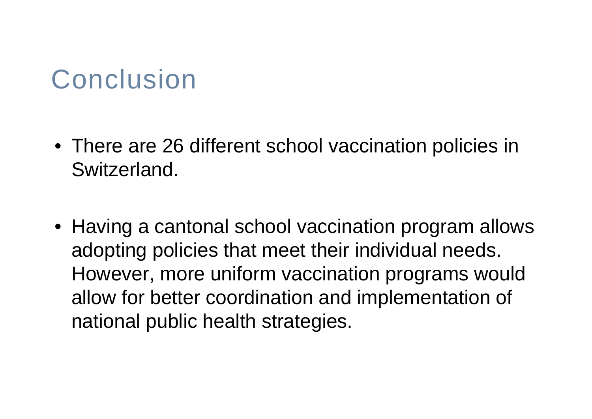## Conclusion

- There are 26 different school vaccination policies in Switzerland.
- Having a cantonal school vaccination program allows adopting policies that meet their individual needs. However, more uniform vaccination programs would allow for better coordination and implementation of national public health strategies.